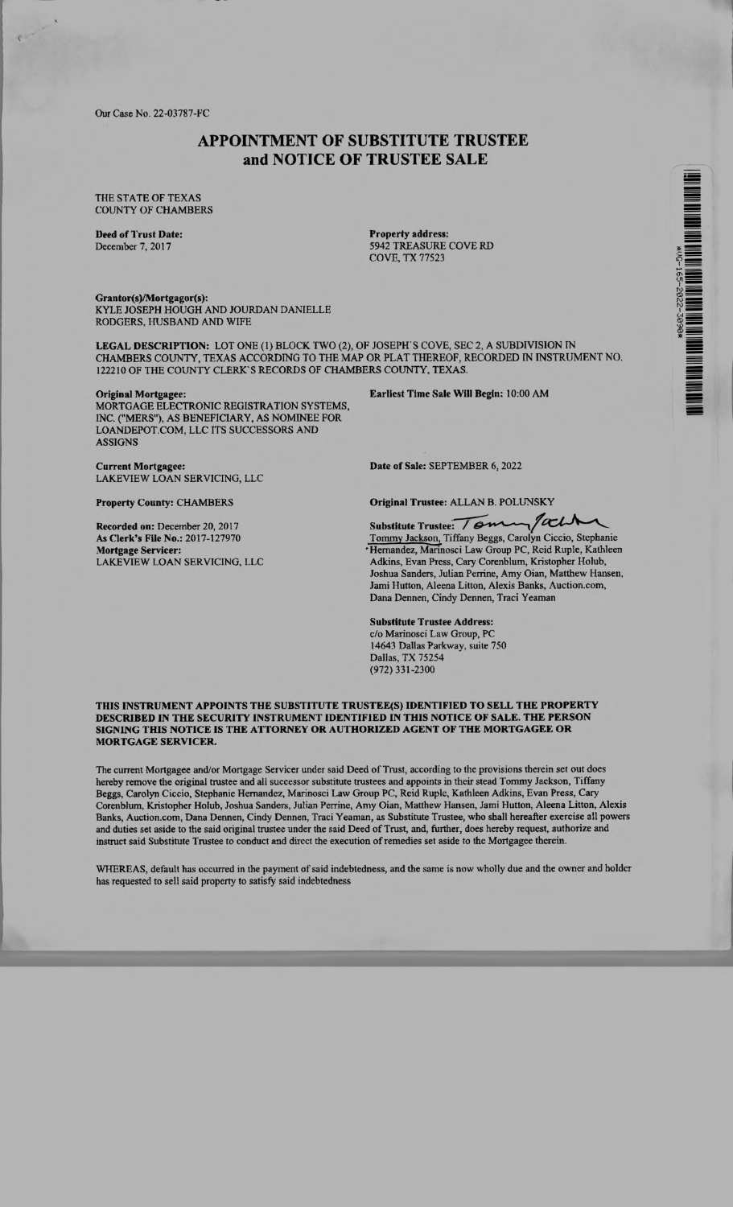Our Case No. 22-03787-FC

## APPOINTMENT OF SUBSTITUTE TRUSTEE and NOTICE OF TRUSTEE SALE

THE STATE OF TEXAS COUNTY OF CHAMBERS

Deed of Trust Date: December 7, 2017

Property address: 5942 TREASURE COVE RD COVE, TX 77523

Grantor(s)/Mortgagor(s): KYLE JOSEPH HOUGH AND JOURDAN DANIELLE RODGERS, HUSBAND AND WIFE

LEGAL DESCRIPTION: LOT ONE (1) BLOCK TWO (2), OF JOSEPH'S COVE, SEC 2, A SUBDIVISION IN CHAMBERS COUNTY, TEXAS ACCORDING TO THE MAP OR PLAT THEREOF, RECORDED IN INSTRUMENT NO. 122210 OF THE COUNTY CLERK'S RECORDS OF CHAMBERS COUNTY. TEXAS.

## Original Mortgagee:

MORTGAGE ELECTRONIC REGISTRATION SYSTEMS, INC. ("MERS"), AS BENEFICIARY, AS NOMINEE FOR LOANDEPOT.COM, LLC ITS SUCCESSORS AND ASSIGNS

Earliest Time Sale Will Begin: 10:00 AM

Current Mortgagee: Date of Sale: SEPTEMBER 6, 2022 LAKEVIEW LOAN SERVICING, LLC

LAKEVIEW LOAN SERVICING, LLC

Property County: CHAMBERS

Recorded on: December 20, 2017 As Clerk's File No.: 2017-127970

Mortgage Servicer:

Original Trustee: ALLAN B. POLUNSKY

Substitute Trustee: Tomm/ach

Tommy Jackson, Tiffany Beggs, Carolyn Ciccio, Stephanie 'Hernandez, Marinosci Law Group PC, Reid Ruple, Kathleen Adkins, Evan Press, Cary Corenblum, Kristopher Holub, Joshua Sanders, Julian Perrine, Amy Oian, Matthew Hansen, Jami Hutton, Aleena Litton, Alexis Banks, Auction.com, Dana Dennen, Cindy Dennen, Traci Yeaman

Substitute Trustee Address: c/o Marinosci Law Group, PC 14643 Dallas Parkway, suite 750 Dallas, TX 75254 (972) 331-2300

## THIS INSTRUMENT APPOINTS THE SUBSTITUTE TRUSTEE(S) IDENTIFIED TO SELL THE PROPERTY DESCRIBED IN THE SECURITY INSTRUMENT IDENTIFIED IN THIS NOTICE OF SALE. THE PERSON SIGNING THIS NOTICE IS THE ATTORNEY OR AUTHORIZED AGENT OF THE MORTGAGEE OR MORTGAGE SERVICER.

The current Mortgagee and/or Mortgage Servicer under said Deed of Trust, according to the provisions therein set out does hereby remove the original trustee and all successor substitute trustees and appoints in their stead Tommy Jackson, Tiffany Beggs, Carolyn Ciccio, Stephanie Hernandez, Marinosci Law Group PC, Reid Ruple, Kathleen Adkins, Evan Press, Cary Corenblum, Kristopher Holub, Joshua Sanders, Julian Perrine, Amy Oian, Matthew Hansen, Jami Hutton, Aleena Litton, Alexis Banks, Auction.com, Dana Dennen, Cindy Dennen, Traci Yeaman, as Substitute Trustee, who shall hereafter exercise all powers and duties set aside to the said original trustee under the said Deed of Trust, and, further, does hereby request, authorize and instruct said Substitute Trustee to conduct and direct the execution of remedies set aside to the Mortgagee therein.

WHEREAS, default has occurred in the payment of said indebtedness, and the same is now wholly due and the owner and holder has requested to sell said property to satisfy said indebtedness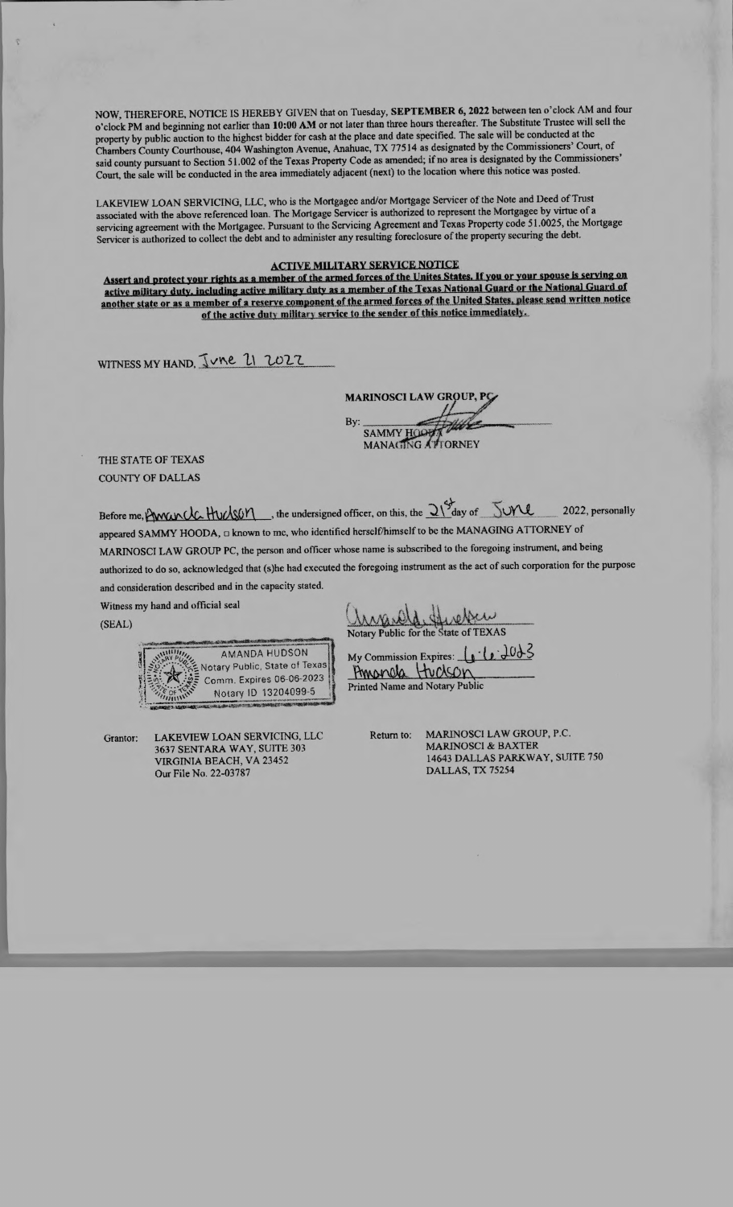NOW. THEREFORE, NOTICE IS HEREBY GIVEN that on Tuesday, SEPTEMBER 6, 2022 between ten o'clock AM and four o'clock PM and beginning not earlier than 10:00 AM or not later than three hours thereafter. The Substitute Trustee will sell the property by public auction to the highest bidder for cash at the place and date specified. The sale will be conducted at the Chambers County Courthouse, 404 Washington Avenue, Anahuac, TX 77514 as designated by the Commissioners' Court, of said county pursuant to Section 51.002 of the Texas Property Code as amended; if no area is designated by the Commissioners' Court, the sale will be conducted in the area immediately adjacent (next) to the location where this notice was posted.

LAKEVIEW LOAN SERVICING, LLC, who is the Mortgagee and/or Mortgage Servicer of the Note and Deed of Trust associated with the above referenced loan. The Mortgage Servicer is authorized to represent the Mortgagee by virtue of <sup>a</sup> servicing agreement with the Mortgagee. Pursuant to the Servicing Agreement and Texas Property code 51.0025, the Mortgage Servicer is authorized to collect the debt and to administer any resulting foreclosure of the property securing the debt.

## ACTIVE MILITARY SERVICE NOTICE

Assert and protect your rights as a member of the armed forces of the Unites States. If you or your spouse is serving on active military duty. including active military duty as <sup>a</sup>member of the Texas National Guard or the National Guard of another state or as a member of a reserve component of the armed forces of the United States, please send written notice of the active duty military service to the sender of this notice immediately,

WITNESS MY HAND,  $\sqrt{v}$   $\ell$   $l$   $\sqrt{v^2}$ 

MARINOSCI LAW GROUP, PG By: SAMMY HOOP MANAGING ATTORNEY

THE STATE OF TEXAS COUNTY OF DALLAS

Before me, Awarda. Huckson , the undersigned officer, on this, the  $\frac{21}{3}$ day of  $\frac{5}{3}$ OY  $\ell$  2022, personally appeared SAMMY HOODA,  $\Box$  known to me, who identified herself/himself to be the MANAGING ATTORNEY of MARINOSCI LAW GROUP PC, the person and officer whose name is subscribed to the foregoing instrument, and being authorized to do so, acknowledged that (s)he had executed the foregoing instrument as the act of such corporation for the purpose and consideration described and in the capacity stated.

Witness my hand and official seal

,...mtlest.c<del>.010.</del>com/000.014.1.1.000.0000.000.  $F_1 = 2$ *<i>CHE OF THIS* Notary Public, State of Texas Comm. Expires 06-06-2023 Notary ID 13204099-5

Grantor: LAKEVIEW LOAN SERVICING, LLC 3637 SENTARA WAY, SUITE 303 VIRGINIA BEACH, VA 23452 Our File No. 22-03787

 $\frac{\log_{10}(1,0)}{\log_{10}(1,0)}$  Notary Public for the State of TEXAS

AMANDA HUDSON My Commission Expires:  $\int_{\mathbb{R}} \cdot (\mathbf{r}) d\theta$ Amanda Huckson Printed Name and Notary Public

Return to: MARINOSCI LAW GROUP, P.C. MARINOSCI & BAXTER 14643 DALLAS PARKWAY, SUITE 750 DALLAS, TX 75254